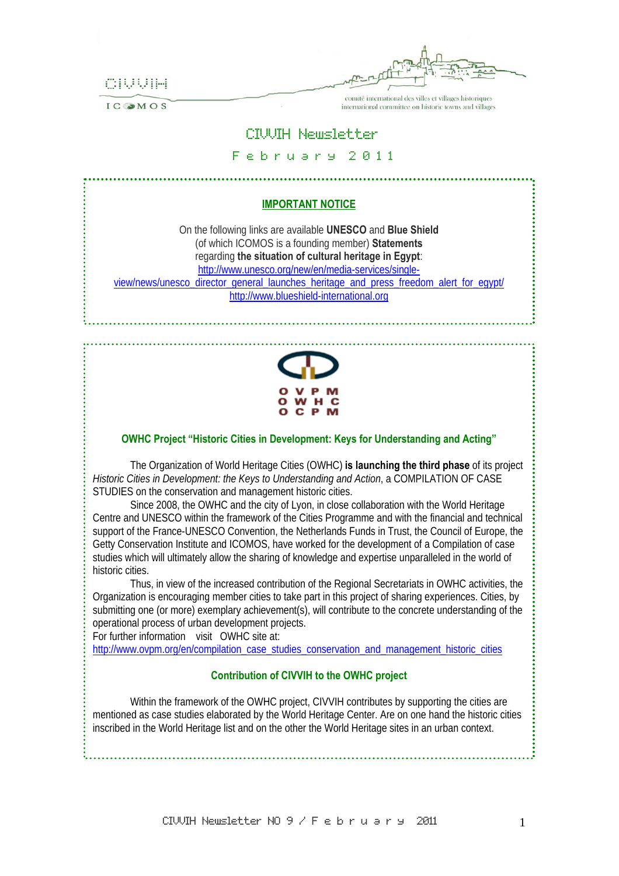

IC OMOS

comité international des villes et villages historiques international committee on historic towns and villages

# CIVVIH Newsletter

#### F e b r u a r y 2 0 1 1

# **IMPORTANT NOTICE** On the following links are available **UNESCO** and **Blue Shield** (of which ICOMOS is a founding member) **Statements** regarding **the situation of cultural heritage in Egypt**: http://www.unesco.org/new/en/media-services/singleview/news/unesco\_director\_general\_launches\_heritage\_and\_press\_freedom\_alert\_for\_egypt/ http://www.blueshield-international.org **OWHC Project "Historic Cities in Development: Keys for Understanding and Acting"**

The Organization of World Heritage Cities (OWHC) **is launching the third phase** of its project *Historic Cities in Development: the Keys to Understanding and Action*, a COMPILATION OF CASE STUDIES on the conservation and management historic cities.

Since 2008, the OWHC and the city of Lyon, in close collaboration with the World Heritage Centre and UNESCO within the framework of the Cities Programme and with the financial and technical support of the France-UNESCO Convention, the Netherlands Funds in Trust, the Council of Europe, the Getty Conservation Institute and ICOMOS, have worked for the development of a Compilation of case studies which will ultimately allow the sharing of knowledge and expertise unparalleled in the world of historic cities.

Thus, in view of the increased contribution of the Regional Secretariats in OWHC activities, the Organization is encouraging member cities to take part in this project of sharing experiences. Cities, by submitting one (or more) exemplary achievement(s), will contribute to the concrete understanding of the operational process of urban development projects.

For further information visit OWHC site at:

http://www.ovpm.org/en/compilation\_case\_studies\_conservation\_and\_management\_historic\_cities

#### **Contribution of CIVVIH to the OWHC project**

Within the framework of the OWHC project, CIVVIH contributes by supporting the cities are mentioned as case studies elaborated by the World Heritage Center. Are on one hand the historic cities inscribed in the World Heritage list and on the other the World Heritage sites in an urban context.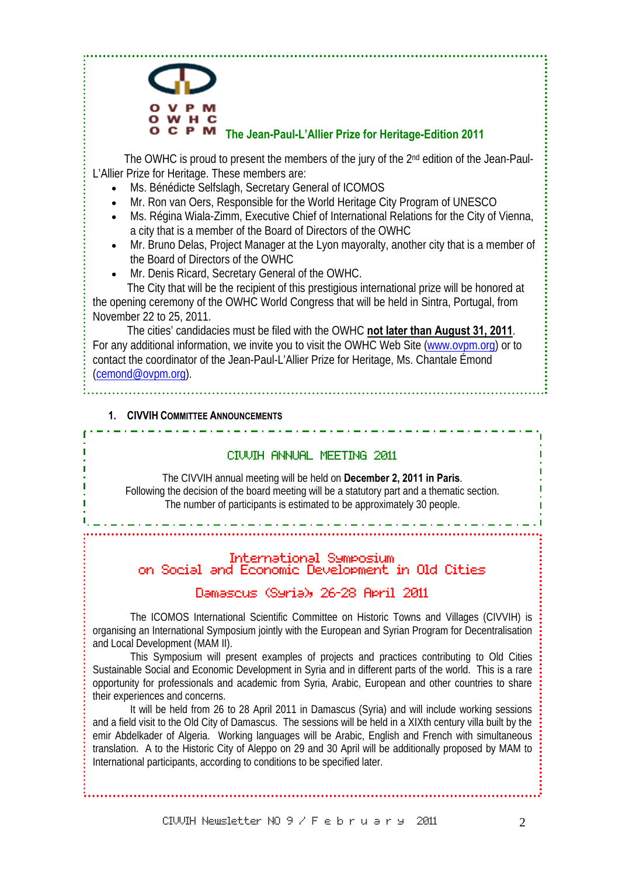# **The Jean-Paul-L'Allier Prize for Heritage-Edition 2011**

The OWHC is proud to present the members of the jury of the 2<sup>nd</sup> edition of the Jean-Paul-L'Allier Prize for Heritage. These members are:

- Ms. Bénédicte Selfslagh, Secretary General of ICOMOS
- Mr. Ron van Oers, Responsible for the World Heritage City Program of UNESCO
- Ms. Régina Wiala-Zimm, Executive Chief of International Relations for the City of Vienna, a city that is a member of the Board of Directors of the OWHC
- Mr. Bruno Delas, Project Manager at the Lyon mayoralty, another city that is a member of the Board of Directors of the OWHC
- Mr. Denis Ricard, Secretary General of the OWHC. The City that will be the recipient of this prestigious international prize will be honored at

the opening ceremony of the OWHC World Congress that will be held in Sintra, Portugal, from November 22 to 25, 2011.

 The cities' candidacies must be filed with the OWHC **not later than August 31, 2011**. For any additional information, we invite you to visit the OWHC Web Site (www.ovpm.org) or to contact the coordinator of the Jean-Paul-L'Allier Prize for Heritage, Ms. Chantale Émond (cemond@ovpm.org).

# **1. CIVVIH COMMITTEE ANNOUNCEMENTS**

# CIVVIH ANNUAL MEETING 2011

 The CIVVIH annual meeting will be held on **December 2, 2011 in Paris**. Following the decision of the board meeting will be a statutory part and a thematic section. The number of participants is estimated to be approximately 30 people.

# International Symposium on Social and Economic Development in Old Cities

# Damascus (Syria), 26-28 April 2011

The ICOMOS International Scientific Committee on Historic Towns and Villages (CIVVIH) is organising an International Symposium jointly with the European and Syrian Program for Decentralisation and Local Development (MAM II).

This Symposium will present examples of projects and practices contributing to Old Cities Sustainable Social and Economic Development in Syria and in different parts of the world. This is a rare opportunity for professionals and academic from Syria, Arabic, European and other countries to share their experiences and concerns.

It will be held from 26 to 28 April 2011 in Damascus (Syria) and will include working sessions and a field visit to the Old City of Damascus. The sessions will be held in a XIXth century villa built by the emir Abdelkader of Algeria. Working languages will be Arabic, English and French with simultaneous translation. A to the Historic City of Aleppo on 29 and 30 April will be additionally proposed by MAM to International participants, according to conditions to be specified later.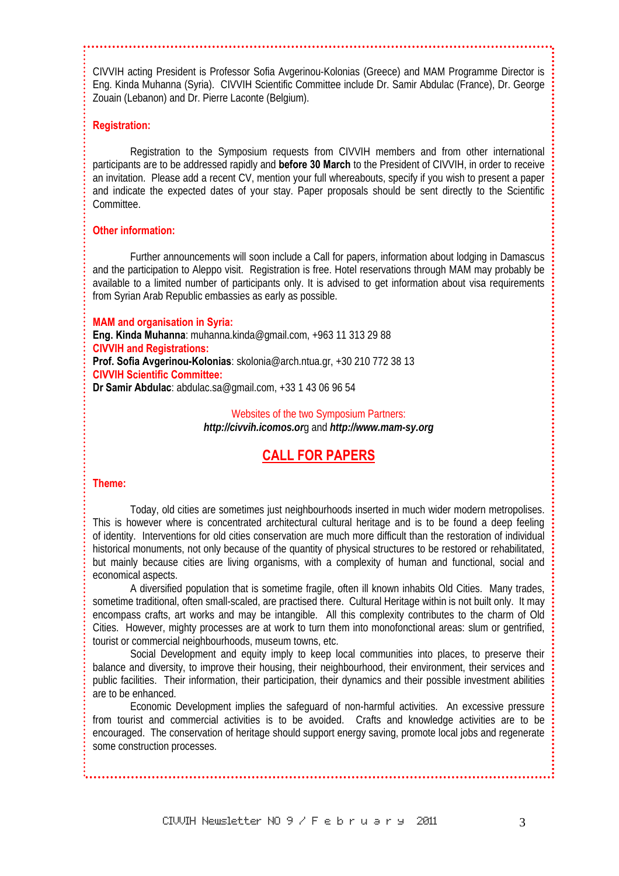CIVVIH acting President is Professor Sofia Avgerinou-Kolonias (Greece) and MAM Programme Director is Eng. Kinda Muhanna (Syria). CIVVIH Scientific Committee include Dr. Samir Abdulac (France), Dr. George Zouain (Lebanon) and Dr. Pierre Laconte (Belgium).

#### **Registration:**

Registration to the Symposium requests from CIVVIH members and from other international participants are to be addressed rapidly and **before 30 March** to the President of CIVVIH, in order to receive an invitation. Please add a recent CV, mention your full whereabouts, specify if you wish to present a paper and indicate the expected dates of your stay. Paper proposals should be sent directly to the Scientific Committee.

#### **Other information:**

Further announcements will soon include a Call for papers, information about lodging in Damascus and the participation to Aleppo visit. Registration is free. Hotel reservations through MAM may probably be available to a limited number of participants only. It is advised to get information about visa requirements from Syrian Arab Republic embassies as early as possible.

**MAM and organisation in Syria: Eng. Kinda Muhanna**: muhanna.kinda@gmail.com, +963 11 313 29 88 **CIVVIH and Registrations: Prof. Sofia Avgerinou-Kolonias**: skolonia@arch.ntua.gr, +30 210 772 38 13 **CIVVIH Scientific Committee: Dr Samir Abdulac**: abdulac.sa@gmail.com, +33 1 43 06 96 54

> Websites of the two Symposium Partners: *http://civvih.icomos.or*g and *http://www.mam-sy.org*

# **CALL FOR PAPERS**

#### **Theme:**

Today, old cities are sometimes just neighbourhoods inserted in much wider modern metropolises. This is however where is concentrated architectural cultural heritage and is to be found a deep feeling of identity. Interventions for old cities conservation are much more difficult than the restoration of individual historical monuments, not only because of the quantity of physical structures to be restored or rehabilitated, but mainly because cities are living organisms, with a complexity of human and functional, social and economical aspects.

A diversified population that is sometime fragile, often ill known inhabits Old Cities. Many trades, sometime traditional, often small-scaled, are practised there. Cultural Heritage within is not built only. It may encompass crafts, art works and may be intangible. All this complexity contributes to the charm of Old Cities. However, mighty processes are at work to turn them into monofonctional areas: slum or gentrified, tourist or commercial neighbourhoods, museum towns, etc.

Social Development and equity imply to keep local communities into places, to preserve their balance and diversity, to improve their housing, their neighbourhood, their environment, their services and public facilities. Their information, their participation, their dynamics and their possible investment abilities are to be enhanced.

Economic Development implies the safeguard of non-harmful activities. An excessive pressure from tourist and commercial activities is to be avoided. Crafts and knowledge activities are to be encouraged. The conservation of heritage should support energy saving, promote local jobs and regenerate some construction processes.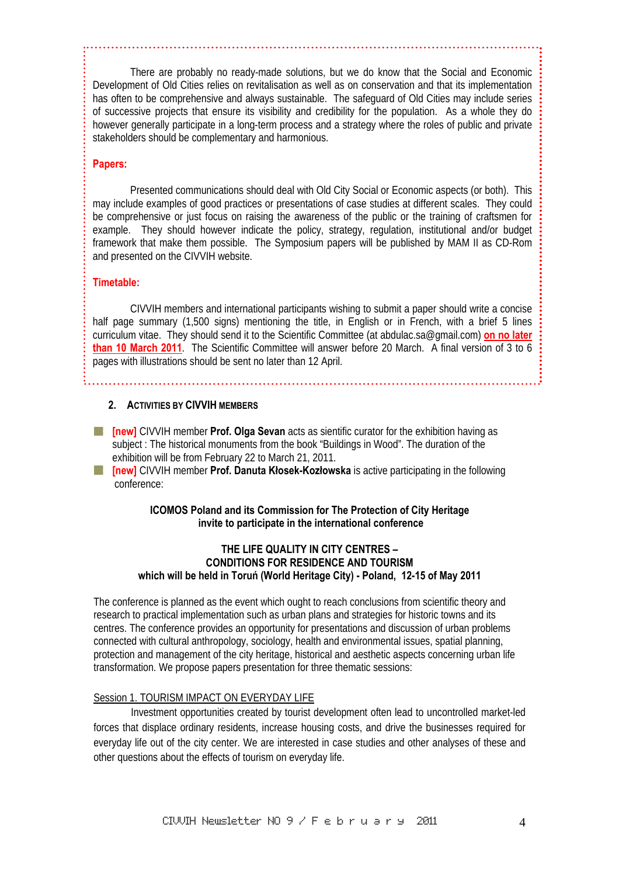There are probably no ready-made solutions, but we do know that the Social and Economic Development of Old Cities relies on revitalisation as well as on conservation and that its implementation has often to be comprehensive and always sustainable. The safeguard of Old Cities may include series of successive projects that ensure its visibility and credibility for the population. As a whole they do however generally participate in a long-term process and a strategy where the roles of public and private stakeholders should be complementary and harmonious.

#### **Papers:**

Presented communications should deal with Old City Social or Economic aspects (or both). This may include examples of good practices or presentations of case studies at different scales. They could be comprehensive or just focus on raising the awareness of the public or the training of craftsmen for example. They should however indicate the policy, strategy, regulation, institutional and/or budget framework that make them possible. The Symposium papers will be published by MAM II as CD-Rom and presented on the CIVVIH website.

#### **Timetable:**

CIVVIH members and international participants wishing to submit a paper should write a concise half page summary (1,500 signs) mentioning the title, in English or in French, with a brief 5 lines curriculum vitae. They should send it to the Scientific Committee (at abdulac.sa@gmail.com) **on no later than 10 March 2011**. The Scientific Committee will answer before 20 March. A final version of 3 to 6 pages with illustrations should be sent no later than 12 April.

#### **2. ACTIVITIES BY CIVVIH MEMBERS**

**[inew]** CIVVIH member **Prof. Olga Sevan** acts as sientific curator for the exhibition having as subject : The historical monuments from the book "Buildings in Wood". The duration of the exhibition will be from February 22 to March 21, 2011.

**[new]** CIVVIH member **Prof. Danuta Kłosek-Kozłowska** is active participating in the following conference:

#### **ICOMOS Poland and its Commission for The Protection of City Heritage invite to participate in the international conference**

#### **THE LIFE QUALITY IN CITY CENTRES – CONDITIONS FOR RESIDENCE AND TOURISM which will be held in Toruń (World Heritage City) - Poland, 12-15 of May 2011**

The conference is planned as the event which ought to reach conclusions from scientific theory and research to practical implementation such as urban plans and strategies for historic towns and its centres. The conference provides an opportunity for presentations and discussion of urban problems connected with cultural anthropology, sociology, health and environmental issues, spatial planning, protection and management of the city heritage, historical and aesthetic aspects concerning urban life transformation. We propose papers presentation for three thematic sessions:

#### Session 1. TOURISM IMPACT ON EVERYDAY LIFE

Investment opportunities created by tourist development often lead to uncontrolled market-led forces that displace ordinary residents, increase housing costs, and drive the businesses required for everyday life out of the city center. We are interested in case studies and other analyses of these and other questions about the effects of tourism on everyday life.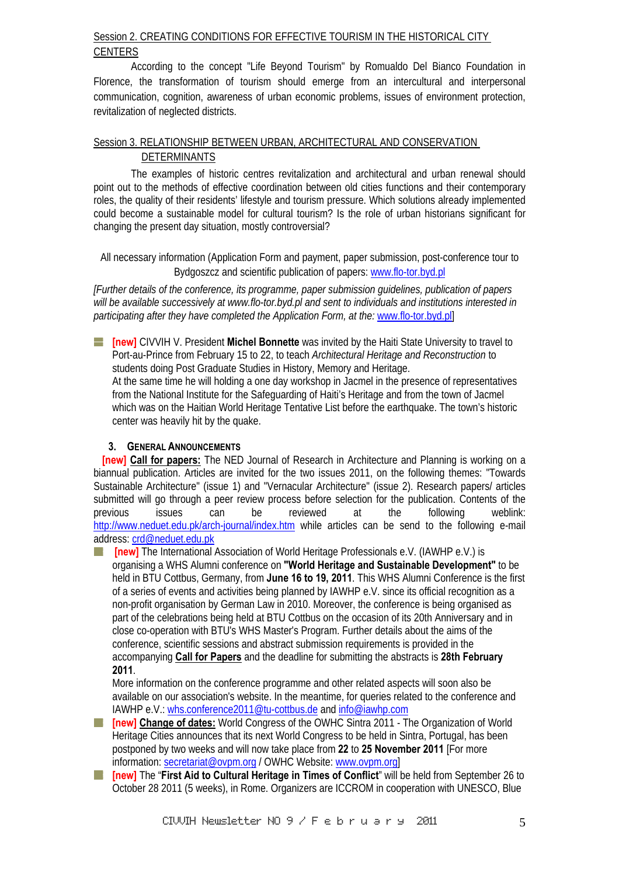# Session 2. CREATING CONDITIONS FOR EFFECTIVE TOURISM IN THE HISTORICAL CITY **CENTERS**

According to the concept "Life Beyond Tourism" by Romualdo Del Bianco Foundation in Florence, the transformation of tourism should emerge from an intercultural and interpersonal communication, cognition, awareness of urban economic problems, issues of environment protection, revitalization of neglected districts.

# Session 3. RELATIONSHIP BETWEEN URBAN, ARCHITECTURAL AND CONSERVATION DETERMINANTS

The examples of historic centres revitalization and architectural and urban renewal should point out to the methods of effective coordination between old cities functions and their contemporary roles, the quality of their residents' lifestyle and tourism pressure. Which solutions already implemented could become a sustainable model for cultural tourism? Is the role of urban historians significant for changing the present day situation, mostly controversial?

All necessary information (Application Form and payment, paper submission, post-conference tour to Bydgoszcz and scientific publication of papers: www.flo-tor.byd.pl

*[Further details of the conference, its programme, paper submission guidelines, publication of papers will be available successively at www.flo-tor.byd.pl and sent to individuals and institutions interested in participating after they have completed the Application Form, at the:* www.flo-tor.byd.pl]

**[new]** CIVVIH V. President **Michel Bonnette** was invited by the Haiti State University to travel to Port-au-Prince from February 15 to 22, to teach *Architectural Heritage and Reconstruction* to students doing Post Graduate Studies in History, Memory and Heritage.

At the same time he will holding a one day workshop in Jacmel in the presence of representatives from the National Institute for the Safeguarding of Haiti's Heritage and from the town of Jacmel which was on the Haitian World Heritage Tentative List before the earthquake. The town's historic center was heavily hit by the quake.

#### **3. GENERAL ANNOUNCEMENTS**

**[new] Call for papers:** The NED Journal of Research in Architecture and Planning is working on a biannual publication. Articles are invited for the two issues 2011, on the following themes: "Towards Sustainable Architecture" (issue 1) and "Vernacular Architecture" (issue 2). Research papers/ articles submitted will go through a peer review process before selection for the publication. Contents of the previous issues can be reviewed at the following weblink: http://www.neduet.edu.pk/arch-journal/index.htm while articles can be send to the following e-mail address: crd@neduet.edu.pk

**[new]** The International Association of World Heritage Professionals e.V. (IAWHP e.V.) is organising a WHS Alumni conference on **"World Heritage and Sustainable Development"** to be held in BTU Cottbus, Germany, from **June 16 to 19, 2011**. This WHS Alumni Conference is the first of a series of events and activities being planned by IAWHP e.V. since its official recognition as a non-profit organisation by German Law in 2010. Moreover, the conference is being organised as part of the celebrations being held at BTU Cottbus on the occasion of its 20th Anniversary and in close co-operation with BTU's WHS Master's Program. Further details about the aims of the conference, scientific sessions and abstract submission requirements is provided in the accompanying **Call for Papers** and the deadline for submitting the abstracts is **28th February 2011**.

More information on the conference programme and other related aspects will soon also be available on our association's website. In the meantime, for queries related to the conference and IAWHP e.V.: whs.conference2011@tu-cottbus.de and info@iawhp.com

- **[new] Change of dates:** World Congress of the OWHC Sintra 2011 The Organization of World a ka Heritage Cities announces that its next World Congress to be held in Sintra, Portugal, has been postponed by two weeks and will now take place from **22** to **25 November 2011** [For more information: secretariat@ovpm.org / OWHC Website: www.ovpm.org]
- **[at linew]** The "First Aid to Cultural Heritage in Times of Conflict" will be held from September 26 to October 28 2011 (5 weeks), in Rome. Organizers are ICCROM in cooperation with UNESCO, Blue